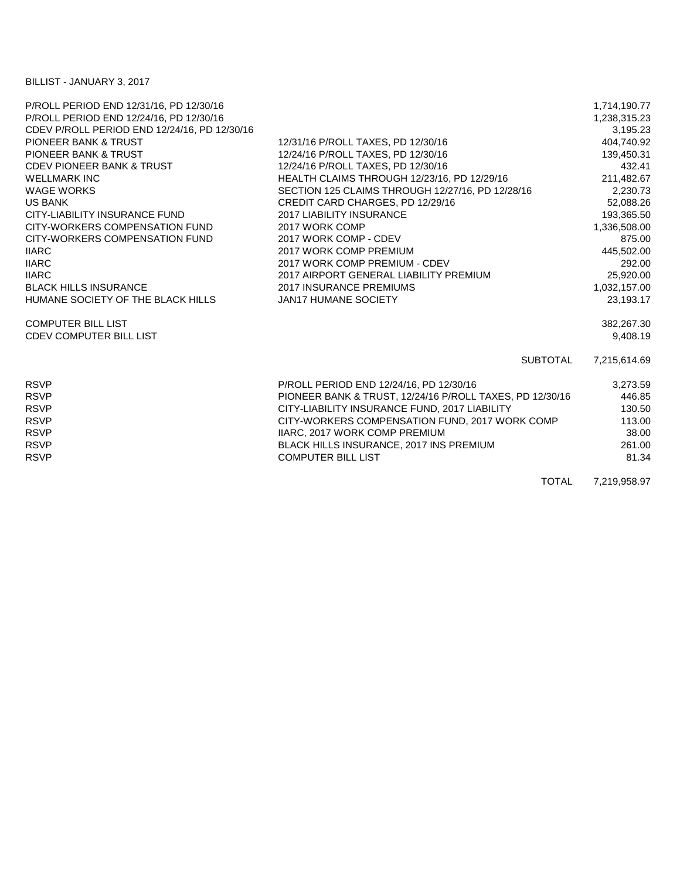## BILLIST - JANUARY 3, 2017

| P/ROLL PERIOD END 12/31/16, PD 12/30/16      |                                                          | 1,714,190.77 |
|----------------------------------------------|----------------------------------------------------------|--------------|
| P/ROLL PERIOD END 12/24/16, PD 12/30/16      |                                                          | 1,238,315.23 |
| CDEV P/ROLL PERIOD END 12/24/16, PD 12/30/16 |                                                          | 3,195.23     |
| <b>PIONEER BANK &amp; TRUST</b>              | 12/31/16 P/ROLL TAXES, PD 12/30/16                       | 404,740.92   |
| <b>PIONEER BANK &amp; TRUST</b>              | 12/24/16 P/ROLL TAXES, PD 12/30/16                       | 139,450.31   |
| <b>CDEV PIONEER BANK &amp; TRUST</b>         | 12/24/16 P/ROLL TAXES, PD 12/30/16                       | 432.41       |
| <b>WELLMARK INC</b>                          | HEALTH CLAIMS THROUGH 12/23/16, PD 12/29/16              | 211,482.67   |
| <b>WAGE WORKS</b>                            | SECTION 125 CLAIMS THROUGH 12/27/16, PD 12/28/16         | 2,230.73     |
| <b>US BANK</b>                               | CREDIT CARD CHARGES, PD 12/29/16                         | 52,088.26    |
| CITY-LIABILITY INSURANCE FUND                | <b>2017 LIABILITY INSURANCE</b>                          | 193,365.50   |
| CITY-WORKERS COMPENSATION FUND               | 2017 WORK COMP                                           | 1,336,508.00 |
| CITY-WORKERS COMPENSATION FUND               | 2017 WORK COMP - CDEV                                    | 875.00       |
| <b>IIARC</b>                                 | 2017 WORK COMP PREMIUM                                   | 445,502.00   |
| <b>IIARC</b>                                 | 2017 WORK COMP PREMIUM - CDEV                            | 292.00       |
| <b>IIARC</b>                                 | 2017 AIRPORT GENERAL LIABILITY PREMIUM                   | 25,920.00    |
| <b>BLACK HILLS INSURANCE</b>                 | <b>2017 INSURANCE PREMIUMS</b>                           | 1,032,157.00 |
| HUMANE SOCIETY OF THE BLACK HILLS            | <b>JAN17 HUMANE SOCIETY</b>                              | 23,193.17    |
| <b>COMPUTER BILL LIST</b>                    |                                                          | 382,267.30   |
| <b>CDEV COMPUTER BILL LIST</b>               |                                                          | 9,408.19     |
|                                              | SUBTOTAL                                                 | 7,215,614.69 |
| <b>RSVP</b>                                  | P/ROLL PERIOD END 12/24/16, PD 12/30/16                  | 3,273.59     |
| <b>RSVP</b>                                  | PIONEER BANK & TRUST, 12/24/16 P/ROLL TAXES, PD 12/30/16 | 446.85       |
| <b>RSVP</b>                                  | CITY-LIABILITY INSURANCE FUND, 2017 LIABILITY            | 130.50       |
| <b>RSVP</b>                                  | CITY-WORKERS COMPENSATION FUND, 2017 WORK COMP           | 113.00       |
| <b>RSVP</b>                                  | IIARC, 2017 WORK COMP PREMIUM                            | 38.00        |
| <b>RSVP</b>                                  | BLACK HILLS INSURANCE, 2017 INS PREMIUM                  | 261.00       |
| <b>RSVP</b>                                  | <b>COMPUTER BILL LIST</b>                                | 81.34        |
|                                              | $T$ $\cap$ $T \wedge$                                    | 7.010.050.07 |

TOTAL 7,219,958.97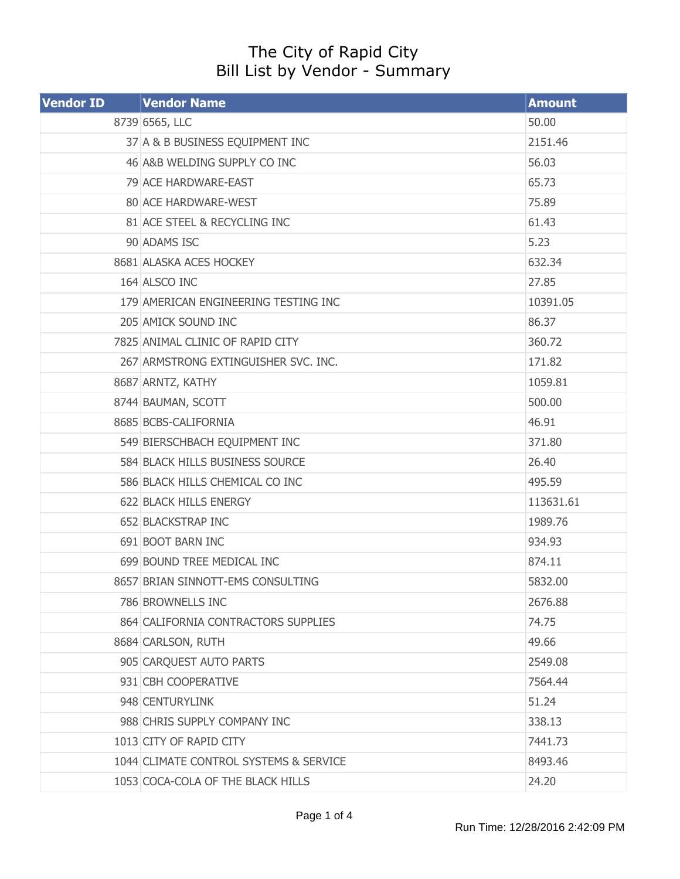## The City of Rapid City Bill List by Vendor - Summary

| <b>Vendor ID</b> | <b>Vendor Name</b>                     | <b>Amount</b> |
|------------------|----------------------------------------|---------------|
|                  | 8739 6565, LLC                         | 50.00         |
|                  | 37 A & B BUSINESS EQUIPMENT INC        | 2151.46       |
|                  | 46 A&B WELDING SUPPLY CO INC           | 56.03         |
|                  | 79 ACE HARDWARE-EAST                   | 65.73         |
|                  | 80 ACE HARDWARE-WEST                   | 75.89         |
|                  | 81 ACE STEEL & RECYCLING INC           | 61.43         |
|                  | 90 ADAMS ISC                           | 5.23          |
|                  | 8681 ALASKA ACES HOCKEY                | 632.34        |
|                  | 164 ALSCO INC                          | 27.85         |
|                  | 179 AMERICAN ENGINEERING TESTING INC   | 10391.05      |
|                  | 205 AMICK SOUND INC                    | 86.37         |
|                  | 7825 ANIMAL CLINIC OF RAPID CITY       | 360.72        |
|                  | 267 ARMSTRONG EXTINGUISHER SVC. INC.   | 171.82        |
|                  | 8687 ARNTZ, KATHY                      | 1059.81       |
|                  | 8744 BAUMAN, SCOTT                     | 500.00        |
|                  | 8685 BCBS-CALIFORNIA                   | 46.91         |
|                  | 549 BIERSCHBACH EQUIPMENT INC          | 371.80        |
|                  | 584 BLACK HILLS BUSINESS SOURCE        | 26.40         |
|                  | 586 BLACK HILLS CHEMICAL CO INC        | 495.59        |
|                  | 622 BLACK HILLS ENERGY                 | 113631.61     |
|                  | 652 BLACKSTRAP INC                     | 1989.76       |
|                  | 691 BOOT BARN INC                      | 934.93        |
|                  | 699 BOUND TREE MEDICAL INC             | 874.11        |
|                  | 8657 BRIAN SINNOTT-EMS CONSULTING      | 5832.00       |
|                  | 786 BROWNELLS INC                      | 2676.88       |
|                  | 864 CALIFORNIA CONTRACTORS SUPPLIES    | 74.75         |
|                  | 8684 CARLSON, RUTH                     | 49.66         |
|                  | 905 CARQUEST AUTO PARTS                | 2549.08       |
|                  | 931 CBH COOPERATIVE                    | 7564.44       |
|                  | 948 CENTURYLINK                        | 51.24         |
|                  | 988 CHRIS SUPPLY COMPANY INC           | 338.13        |
|                  | 1013 CITY OF RAPID CITY                | 7441.73       |
|                  | 1044 CLIMATE CONTROL SYSTEMS & SERVICE | 8493.46       |
|                  | 1053 COCA-COLA OF THE BLACK HILLS      | 24.20         |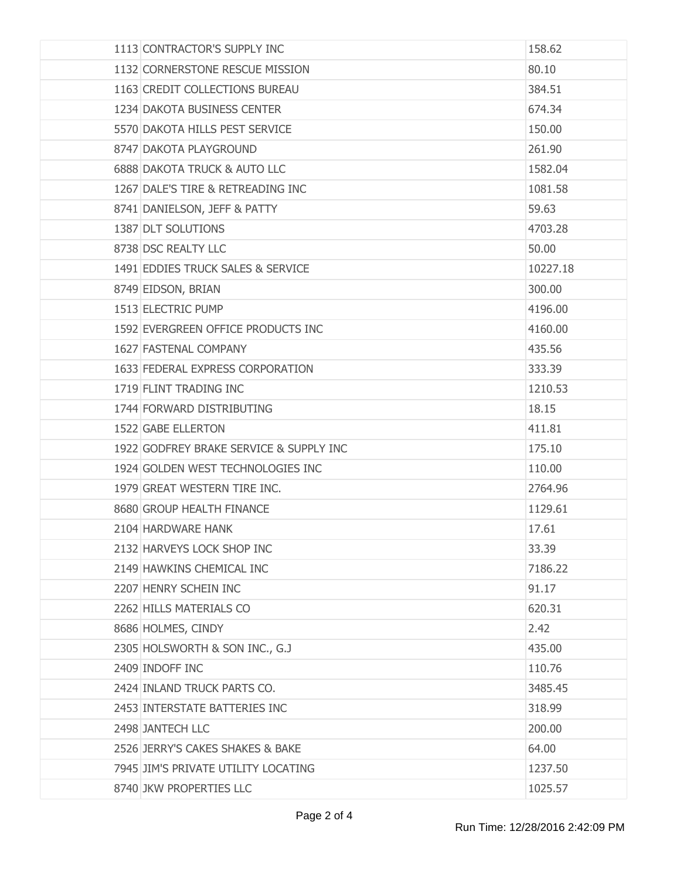| 1113 CONTRACTOR'S SUPPLY INC            | 158.62   |
|-----------------------------------------|----------|
| 1132 CORNERSTONE RESCUE MISSION         | 80.10    |
| 1163 CREDIT COLLECTIONS BUREAU          | 384.51   |
| 1234 DAKOTA BUSINESS CENTER             | 674.34   |
| 5570 DAKOTA HILLS PEST SERVICE          | 150.00   |
| 8747 DAKOTA PLAYGROUND                  | 261.90   |
| <b>6888 DAKOTA TRUCK &amp; AUTO LLC</b> | 1582.04  |
| 1267 DALE'S TIRE & RETREADING INC       | 1081.58  |
| 8741 DANIELSON, JEFF & PATTY            | 59.63    |
| 1387 DLT SOLUTIONS                      | 4703.28  |
| 8738 DSC REALTY LLC                     | 50.00    |
| 1491 EDDIES TRUCK SALES & SERVICE       | 10227.18 |
| 8749 EIDSON, BRIAN                      | 300.00   |
| 1513 ELECTRIC PUMP                      | 4196.00  |
| 1592 EVERGREEN OFFICE PRODUCTS INC      | 4160.00  |
| 1627 FASTENAL COMPANY                   | 435.56   |
| 1633 FEDERAL EXPRESS CORPORATION        | 333.39   |
| 1719 FLINT TRADING INC                  | 1210.53  |
| 1744 FORWARD DISTRIBUTING               | 18.15    |
| 1522 GABE ELLERTON                      | 411.81   |
| 1922 GODFREY BRAKE SERVICE & SUPPLY INC | 175.10   |
| 1924 GOLDEN WEST TECHNOLOGIES INC       | 110.00   |
| 1979 GREAT WESTERN TIRE INC.            | 2764.96  |
| 8680 GROUP HEALTH FINANCE               | 1129.61  |
| 2104 HARDWARE HANK                      | 17.61    |
| 2132 HARVEYS LOCK SHOP INC              | 33.39    |
| 2149 HAWKINS CHEMICAL INC               | 7186.22  |
| 2207 HENRY SCHEIN INC                   | 91.17    |
| 2262 HILLS MATERIALS CO                 | 620.31   |
| 8686 HOLMES, CINDY                      | 2.42     |
| 2305 HOLSWORTH & SON INC., G.J          | 435.00   |
| 2409 INDOFF INC                         | 110.76   |
| 2424 INLAND TRUCK PARTS CO.             | 3485.45  |
| 2453 INTERSTATE BATTERIES INC           | 318.99   |
| 2498 JANTECH LLC                        | 200.00   |
| 2526 JERRY'S CAKES SHAKES & BAKE        | 64.00    |
| 7945 JIM'S PRIVATE UTILITY LOCATING     | 1237.50  |
| 8740 JKW PROPERTIES LLC                 | 1025.57  |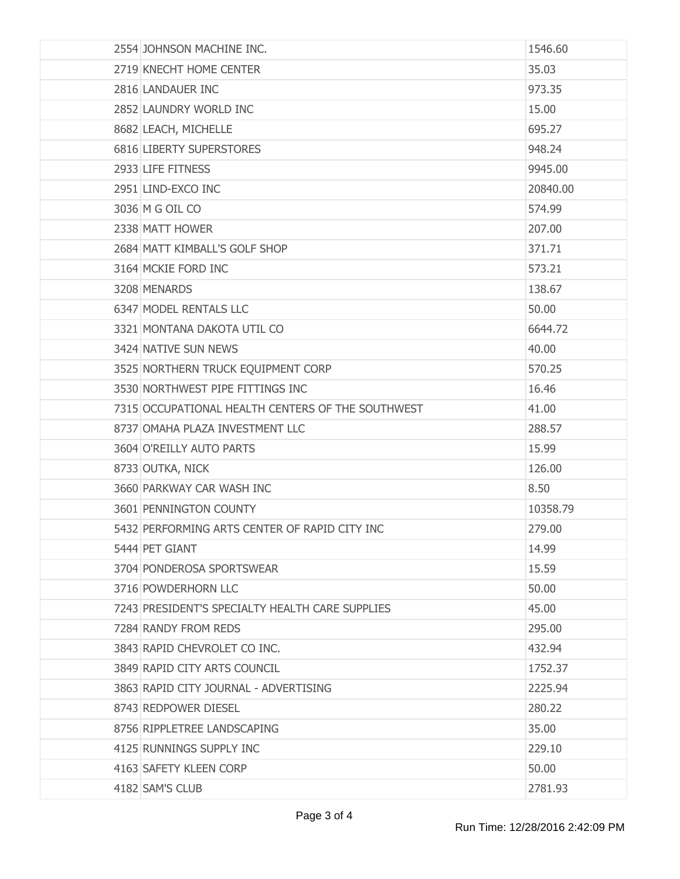| 2554 JOHNSON MACHINE INC.                         | 1546.60  |
|---------------------------------------------------|----------|
| 2719 KNECHT HOME CENTER                           | 35.03    |
| 2816 LANDAUER INC                                 | 973.35   |
| 2852 LAUNDRY WORLD INC                            | 15.00    |
| 8682 LEACH, MICHELLE                              | 695.27   |
| 6816 LIBERTY SUPERSTORES                          | 948.24   |
| 2933 LIFE FITNESS                                 | 9945.00  |
| 2951 LIND-EXCO INC                                | 20840.00 |
| 3036 M G OIL CO                                   | 574.99   |
| 2338 MATT HOWER                                   | 207.00   |
| 2684 MATT KIMBALL'S GOLF SHOP                     | 371.71   |
| 3164 MCKIE FORD INC                               | 573.21   |
| 3208 MENARDS                                      | 138.67   |
| 6347 MODEL RENTALS LLC                            | 50.00    |
| 3321 MONTANA DAKOTA UTIL CO                       | 6644.72  |
| 3424 NATIVE SUN NEWS                              | 40.00    |
| 3525 NORTHERN TRUCK EQUIPMENT CORP                | 570.25   |
| 3530 NORTHWEST PIPE FITTINGS INC                  | 16.46    |
| 7315 OCCUPATIONAL HEALTH CENTERS OF THE SOUTHWEST | 41.00    |
| 8737 OMAHA PLAZA INVESTMENT LLC                   | 288.57   |
| 3604 O'REILLY AUTO PARTS                          | 15.99    |
| 8733 OUTKA, NICK                                  | 126.00   |
| 3660 PARKWAY CAR WASH INC                         | 8.50     |
| 3601 PENNINGTON COUNTY                            | 10358.79 |
| 5432 PERFORMING ARTS CENTER OF RAPID CITY INC     | 279.00   |
| 5444 PET GIANT                                    | 14.99    |
| 3704 PONDEROSA SPORTSWEAR                         | 15.59    |
| 3716 POWDERHORN LLC                               | 50.00    |
| 7243 PRESIDENT'S SPECIALTY HEALTH CARE SUPPLIES   | 45.00    |
| 7284 RANDY FROM REDS                              | 295.00   |
| 3843 RAPID CHEVROLET CO INC.                      | 432.94   |
| 3849 RAPID CITY ARTS COUNCIL                      | 1752.37  |
| 3863 RAPID CITY JOURNAL - ADVERTISING             | 2225.94  |
| 8743 REDPOWER DIESEL                              | 280.22   |
| 8756 RIPPLETREE LANDSCAPING                       | 35.00    |
| 4125 RUNNINGS SUPPLY INC                          | 229.10   |
| 4163 SAFETY KLEEN CORP                            | 50.00    |
| 4182 SAM'S CLUB                                   | 2781.93  |